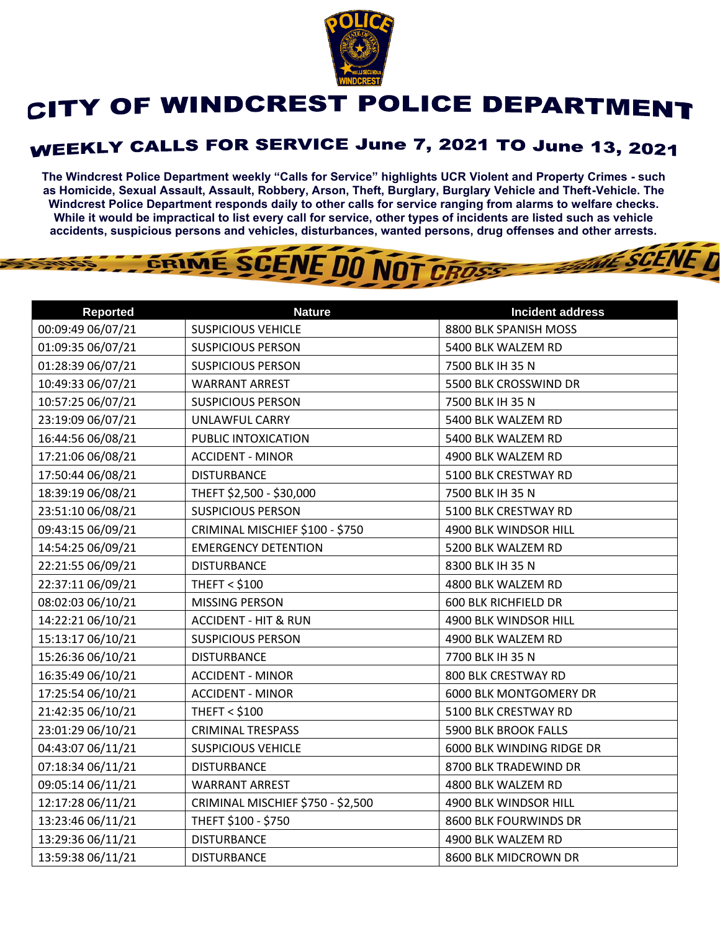

## CITY OF WINDCREST POLICE DEPARTMENT

## **WEEKLY CALLS FOR SERVICE June 7, 2021 TO June 13, 2021**

**The Windcrest Police Department weekly "Calls for Service" highlights UCR Violent and Property Crimes - such as Homicide, Sexual Assault, Assault, Robbery, Arson, Theft, Burglary, Burglary Vehicle and Theft-Vehicle. The Windcrest Police Department responds daily to other calls for service ranging from alarms to welfare checks. While it would be impractical to list every call for service, other types of incidents are listed such as vehicle accidents, suspicious persons and vehicles, disturbances, wanted persons, drug offenses and other arrests.** 

**THE SCENE D** 

## GRIME SCENE DO NOT CROSS

| <b>Reported</b>   | <b>Nature</b>                     | Incident address              |
|-------------------|-----------------------------------|-------------------------------|
| 00:09:49 06/07/21 | <b>SUSPICIOUS VEHICLE</b>         | 8800 BLK SPANISH MOSS         |
| 01:09:35 06/07/21 | <b>SUSPICIOUS PERSON</b>          | 5400 BLK WALZEM RD            |
| 01:28:39 06/07/21 | <b>SUSPICIOUS PERSON</b>          | 7500 BLK IH 35 N              |
| 10:49:33 06/07/21 | <b>WARRANT ARREST</b>             | 5500 BLK CROSSWIND DR         |
| 10:57:25 06/07/21 | <b>SUSPICIOUS PERSON</b>          | 7500 BLK IH 35 N              |
| 23:19:09 06/07/21 | UNLAWFUL CARRY                    | 5400 BLK WALZEM RD            |
| 16:44:56 06/08/21 | PUBLIC INTOXICATION               | 5400 BLK WALZEM RD            |
| 17:21:06 06/08/21 | <b>ACCIDENT - MINOR</b>           | 4900 BLK WALZEM RD            |
| 17:50:44 06/08/21 | <b>DISTURBANCE</b>                | 5100 BLK CRESTWAY RD          |
| 18:39:19 06/08/21 | THEFT \$2,500 - \$30,000          | 7500 BLK IH 35 N              |
| 23:51:10 06/08/21 | <b>SUSPICIOUS PERSON</b>          | 5100 BLK CRESTWAY RD          |
| 09:43:15 06/09/21 | CRIMINAL MISCHIEF \$100 - \$750   | 4900 BLK WINDSOR HILL         |
| 14:54:25 06/09/21 | <b>EMERGENCY DETENTION</b>        | 5200 BLK WALZEM RD            |
| 22:21:55 06/09/21 | <b>DISTURBANCE</b>                | 8300 BLK IH 35 N              |
| 22:37:11 06/09/21 | <b>THEFT &lt; \$100</b>           | 4800 BLK WALZEM RD            |
| 08:02:03 06/10/21 | <b>MISSING PERSON</b>             | <b>600 BLK RICHFIELD DR</b>   |
| 14:22:21 06/10/21 | <b>ACCIDENT - HIT &amp; RUN</b>   | 4900 BLK WINDSOR HILL         |
| 15:13:17 06/10/21 | <b>SUSPICIOUS PERSON</b>          | 4900 BLK WALZEM RD            |
| 15:26:36 06/10/21 | <b>DISTURBANCE</b>                | 7700 BLK IH 35 N              |
| 16:35:49 06/10/21 | <b>ACCIDENT - MINOR</b>           | 800 BLK CRESTWAY RD           |
| 17:25:54 06/10/21 | <b>ACCIDENT - MINOR</b>           | <b>6000 BLK MONTGOMERY DR</b> |
| 21:42:35 06/10/21 | <b>THEFT &lt; \$100</b>           | 5100 BLK CRESTWAY RD          |
| 23:01:29 06/10/21 | <b>CRIMINAL TRESPASS</b>          | 5900 BLK BROOK FALLS          |
| 04:43:07 06/11/21 | <b>SUSPICIOUS VEHICLE</b>         | 6000 BLK WINDING RIDGE DR     |
| 07:18:34 06/11/21 | <b>DISTURBANCE</b>                | 8700 BLK TRADEWIND DR         |
| 09:05:14 06/11/21 | <b>WARRANT ARREST</b>             | 4800 BLK WALZEM RD            |
| 12:17:28 06/11/21 | CRIMINAL MISCHIEF \$750 - \$2,500 | 4900 BLK WINDSOR HILL         |
| 13:23:46 06/11/21 | THEFT \$100 - \$750               | 8600 BLK FOURWINDS DR         |
| 13:29:36 06/11/21 | <b>DISTURBANCE</b>                | 4900 BLK WALZEM RD            |
| 13:59:38 06/11/21 | <b>DISTURBANCE</b>                | 8600 BLK MIDCROWN DR          |